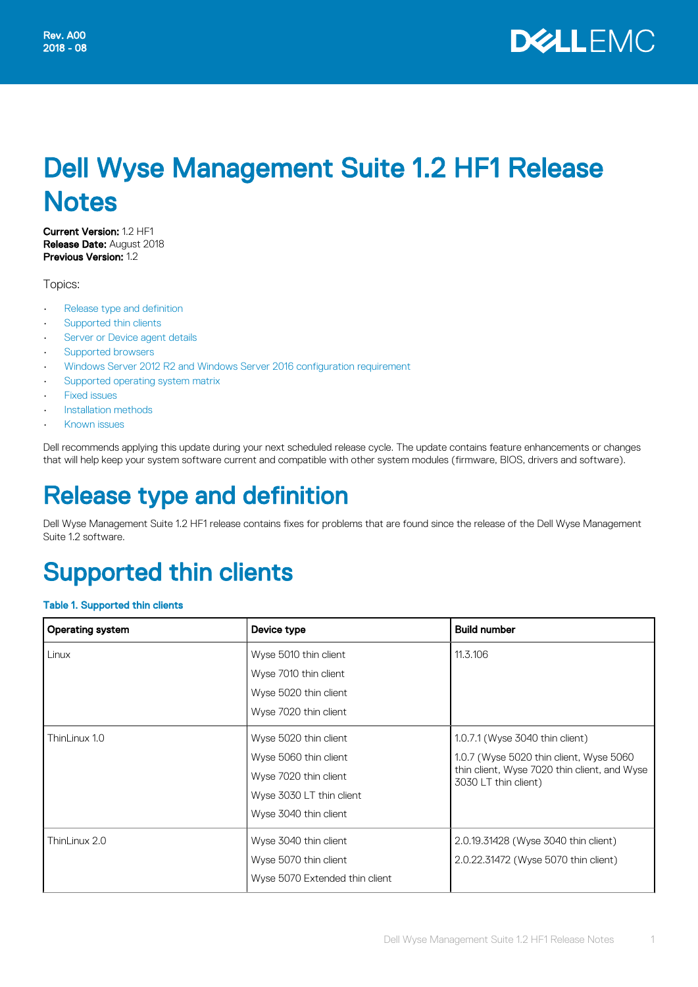

# Dell Wyse Management Suite 1.2 HF1 Release **Notes**

Current Version: 1.2 HF1 Release Date: August 2018 Previous Version: 1.2

Topics:

- Release type and definition
- Supported thin clients
- [Server or Device agent details](#page-2-0)
- [Supported browsers](#page-2-0)
- [Windows Server 2012 R2 and Windows Server 2016 configuration requirement](#page-2-0)
- [Supported operating system matrix](#page-2-0)
- [Fixed issues](#page-3-0)
- [Installation methods](#page-3-0)
- [Known issues](#page-5-0)

Dell recommends applying this update during your next scheduled release cycle. The update contains feature enhancements or changes that will help keep your system software current and compatible with other system modules (firmware, BIOS, drivers and software).

## Release type and definition

Dell Wyse Management Suite 1.2 HF1 release contains fixes for problems that are found since the release of the Dell Wyse Management Suite 1.2 software.

# Supported thin clients

#### Table 1. Supported thin clients

| <b>Operating system</b> | Device type                    | <b>Build number</b>                                                  |
|-------------------------|--------------------------------|----------------------------------------------------------------------|
| Linux                   | Wyse 5010 thin client          | 11.3.106                                                             |
|                         | Wyse 7010 thin client          |                                                                      |
|                         | Wyse 5020 thin client          |                                                                      |
|                         | Wyse 7020 thin client          |                                                                      |
| ThinLinux 1.0           | Wyse 5020 thin client          | 1.0.7.1 (Wyse 3040 thin client)                                      |
|                         | Wyse 5060 thin client          | 1.0.7 (Wyse 5020 thin client, Wyse 5060                              |
|                         | Wyse 7020 thin client          | thin client, Wyse 7020 thin client, and Wyse<br>3030 LT thin client) |
|                         | Wyse 3030 LT thin client       |                                                                      |
|                         | Wyse 3040 thin client          |                                                                      |
| ThinLinux 2.0           | Wyse 3040 thin client          | 2.0.19.31428 (Wyse 3040 thin client)                                 |
|                         | Wyse 5070 thin client          | 2.0.22.31472 (Wyse 5070 thin client)                                 |
|                         | Wyse 5070 Extended thin client |                                                                      |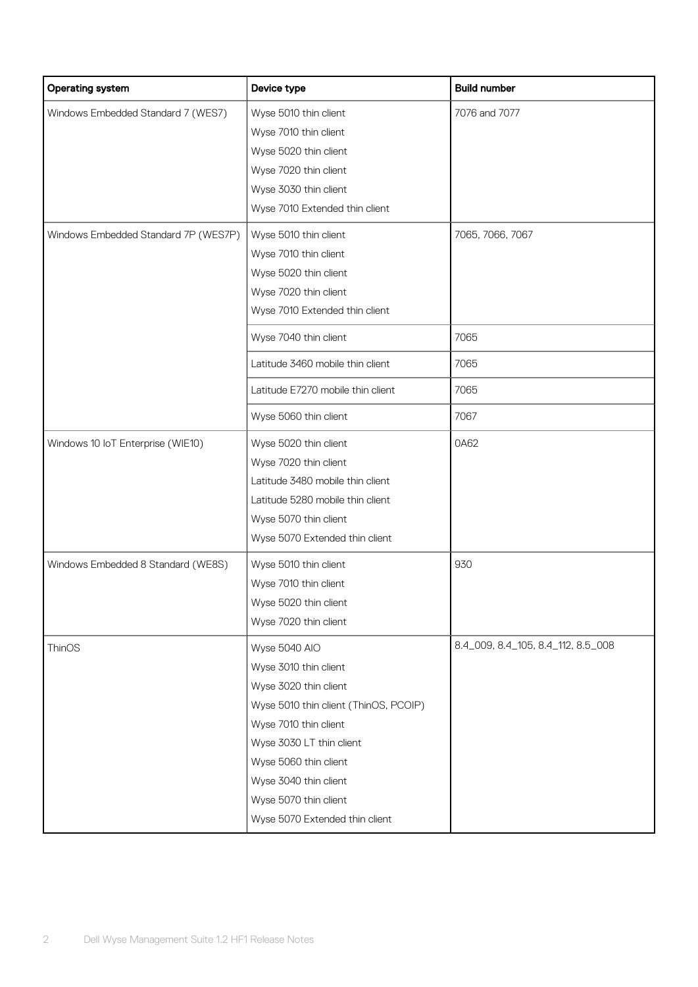| <b>Operating system</b>                                                    | Device type                                                                                                                                                                                                                                                                | <b>Build number</b>                |
|----------------------------------------------------------------------------|----------------------------------------------------------------------------------------------------------------------------------------------------------------------------------------------------------------------------------------------------------------------------|------------------------------------|
| Windows Embedded Standard 7 (WES7)<br>Windows Embedded Standard 7P (WES7P) | Wyse 5010 thin client<br>Wyse 7010 thin client<br>Wyse 5020 thin client<br>Wyse 7020 thin client<br>Wyse 3030 thin client<br>Wyse 7010 Extended thin client<br>Wyse 5010 thin client                                                                                       | 7076 and 7077<br>7065, 7066, 7067  |
|                                                                            | Wyse 7010 thin client<br>Wyse 5020 thin client<br>Wyse 7020 thin client<br>Wyse 7010 Extended thin client                                                                                                                                                                  |                                    |
|                                                                            | Wyse 7040 thin client                                                                                                                                                                                                                                                      | 7065                               |
|                                                                            | Latitude 3460 mobile thin client                                                                                                                                                                                                                                           | 7065                               |
|                                                                            | Latitude E7270 mobile thin client                                                                                                                                                                                                                                          | 7065                               |
|                                                                            | Wyse 5060 thin client                                                                                                                                                                                                                                                      | 7067                               |
| Windows 10 IoT Enterprise (WIE10)                                          | Wyse 5020 thin client<br>Wyse 7020 thin client<br>Latitude 3480 mobile thin client<br>Latitude 5280 mobile thin client<br>Wyse 5070 thin client<br>Wyse 5070 Extended thin client                                                                                          | 0A62                               |
| Windows Embedded 8 Standard (WE8S)                                         | Wyse 5010 thin client<br>Wyse 7010 thin client<br>Wyse 5020 thin client<br>Wyse 7020 thin client                                                                                                                                                                           | 930                                |
| ThinOS                                                                     | Wyse 5040 AIO<br>Wyse 3010 thin client<br>Wyse 3020 thin client<br>Wyse 5010 thin client (ThinOS, PCOIP)<br>Wyse 7010 thin client<br>Wyse 3030 LT thin client<br>Wyse 5060 thin client<br>Wyse 3040 thin client<br>Wyse 5070 thin client<br>Wyse 5070 Extended thin client | 8.4_009, 8.4_105, 8.4_112, 8.5_008 |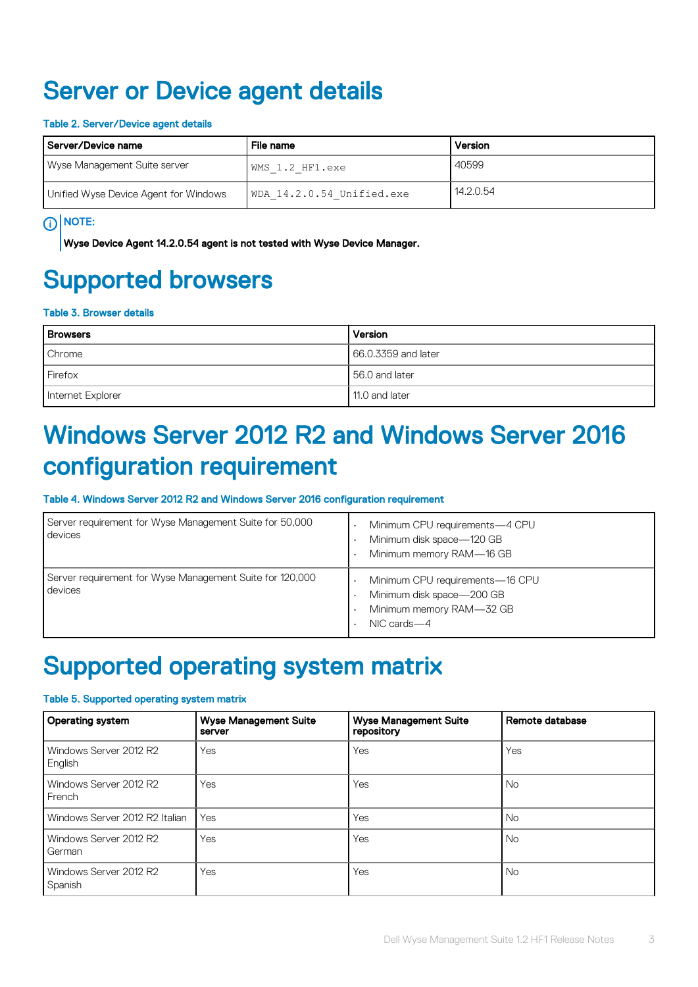### <span id="page-2-0"></span>Server or Device agent details

#### Table 2. Server/Device agent details

| Server/Device name                    | File name                 | Version   |
|---------------------------------------|---------------------------|-----------|
| Wyse Management Suite server          | WMS 1.2 HF1.exe           | 40599     |
| Unified Wyse Device Agent for Windows | WDA 14.2.0.54 Unified.exe | 14.2.0.54 |

### (i) NOTE:

Wyse Device Agent 14.2.0.54 agent is not tested with Wyse Device Manager.

## Supported browsers

#### Table 3. Browser details

| <b>Browsers</b>   | Version             |
|-------------------|---------------------|
| Chrome            | 66.0.3359 and later |
| Firefox           | 56.0 and later      |
| Internet Explorer | 11.0 and later      |

## Windows Server 2012 R2 and Windows Server 2016 configuration requirement

#### Table 4. Windows Server 2012 R2 and Windows Server 2016 configuration requirement

| Server requirement for Wyse Management Suite for 50,000<br>devices  | Minimum CPU requirements-4 CPU<br>Minimum disk space-120 GB<br>Minimum memory RAM-16 GB                 |
|---------------------------------------------------------------------|---------------------------------------------------------------------------------------------------------|
| Server requirement for Wyse Management Suite for 120,000<br>devices | Minimum CPU requirements-16 CPU<br>Minimum disk space-200 GB<br>Minimum memory RAM-32 GB<br>NIC cards-4 |

### Supported operating system matrix

#### Table 5. Supported operating system matrix

| Operating system                  | <b>Wyse Management Suite</b><br>server | <b>Wyse Management Suite</b><br>repository | Remote database |
|-----------------------------------|----------------------------------------|--------------------------------------------|-----------------|
| Windows Server 2012 R2<br>English | Yes                                    | Yes                                        | Yes             |
| Windows Server 2012 R2<br>French  | Yes                                    | Yes                                        | <b>No</b>       |
| Windows Server 2012 R2 Italian    | Yes                                    | Yes                                        | <b>No</b>       |
| Windows Server 2012 R2<br>German  | Yes                                    | Yes                                        | No.             |
| Windows Server 2012 R2<br>Spanish | Yes                                    | Yes                                        | <b>No</b>       |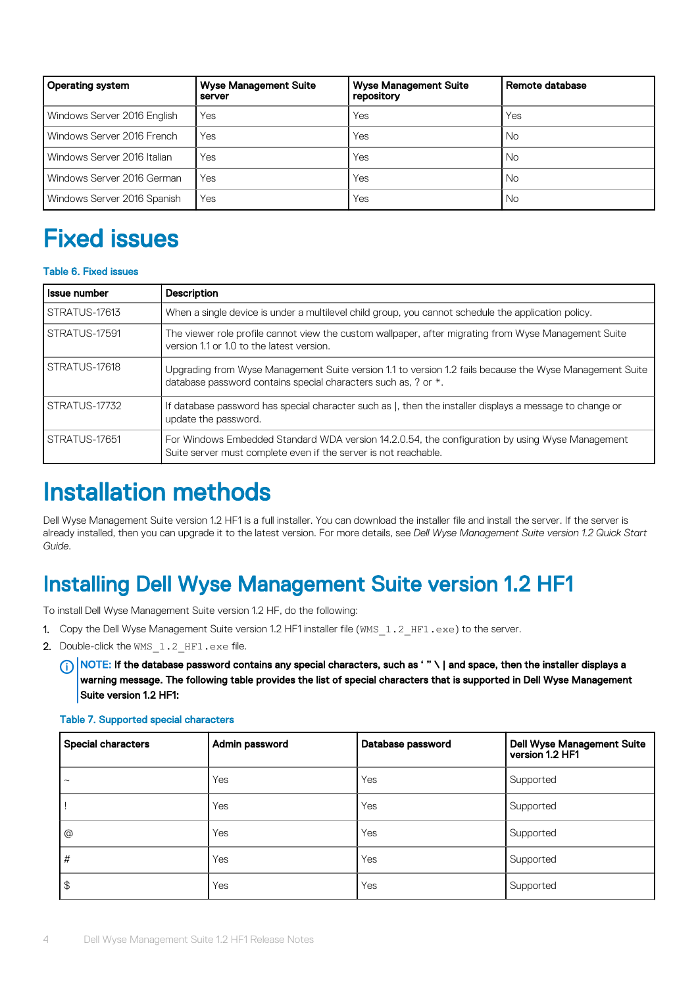<span id="page-3-0"></span>

| Operating system            | <b>Wyse Management Suite</b><br>server | <b>Wyse Management Suite</b><br>repository | Remote database |
|-----------------------------|----------------------------------------|--------------------------------------------|-----------------|
| Windows Server 2016 English | Yes                                    | Yes                                        | Yes             |
| Windows Server 2016 French  | Yes                                    | Yes                                        | <b>No</b>       |
| Windows Server 2016 Italian | Yes                                    | Yes                                        | <b>No</b>       |
| Windows Server 2016 German  | Yes                                    | Yes                                        | <b>No</b>       |
| Windows Server 2016 Spanish | Yes                                    | Yes                                        | No.             |

# Fixed issues

#### Table 6. Fixed issues

| <b>Issue number</b> | <b>Description</b>                                                                                                                                                        |
|---------------------|---------------------------------------------------------------------------------------------------------------------------------------------------------------------------|
| STRATUS-17613       | When a single device is under a multilevel child group, you cannot schedule the application policy.                                                                       |
| STRATUS-17591       | The viewer role profile cannot view the custom wallpaper, after migrating from Wyse Management Suite<br>version 1.1 or 1.0 to the latest version.                         |
| STRATUS-17618       | Upgrading from Wyse Management Suite version 1.1 to version 1.2 fails because the Wyse Management Suite<br>database password contains special characters such as, ? or *. |
| STRATUS-17732       | If database password has special character such as  , then the installer displays a message to change or<br>update the password.                                          |
| STRATUS-17651       | For Windows Embedded Standard WDA version 14.2.0.54, the configuration by using Wyse Management<br>Suite server must complete even if the server is not reachable.        |

## Installation methods

Dell Wyse Management Suite version 1.2 HF1 is a full installer. You can download the installer file and install the server. If the server is already installed, then you can upgrade it to the latest version. For more details, see *Dell Wyse Management Suite version 1.2 Quick Start Guide*.

### Installing Dell Wyse Management Suite version 1.2 HF1

To install Dell Wyse Management Suite version 1.2 HF, do the following:

- 1. Copy the Dell Wyse Management Suite version 1.2 HF1 installer file (WMS\_1.2\_HF1.exe) to the server.
- 2. Double-click the WMS 1.2 HF1.exe file.

 $\cap$  NOTE: If the database password contains any special characters, such as ' " \ | and space, then the installer displays a warning message. The following table provides the list of special characters that is supported in Dell Wyse Management Suite version 1.2 HF1:

| Special characters | Admin password | Database password | Dell Wyse Management Suite<br>version 1.2 HF1 |
|--------------------|----------------|-------------------|-----------------------------------------------|
| $\sim$             | Yes            | Yes               | Supported                                     |
|                    | Yes            | Yes               | Supported                                     |
| @                  | Yes            | Yes               | Supported                                     |
| $\frac{1}{2}$      | <b>Yes</b>     | Yes               | Supported                                     |
| $\vert \theta$     | Yes            | Yes               | Supported                                     |

#### Table 7. Supported special characters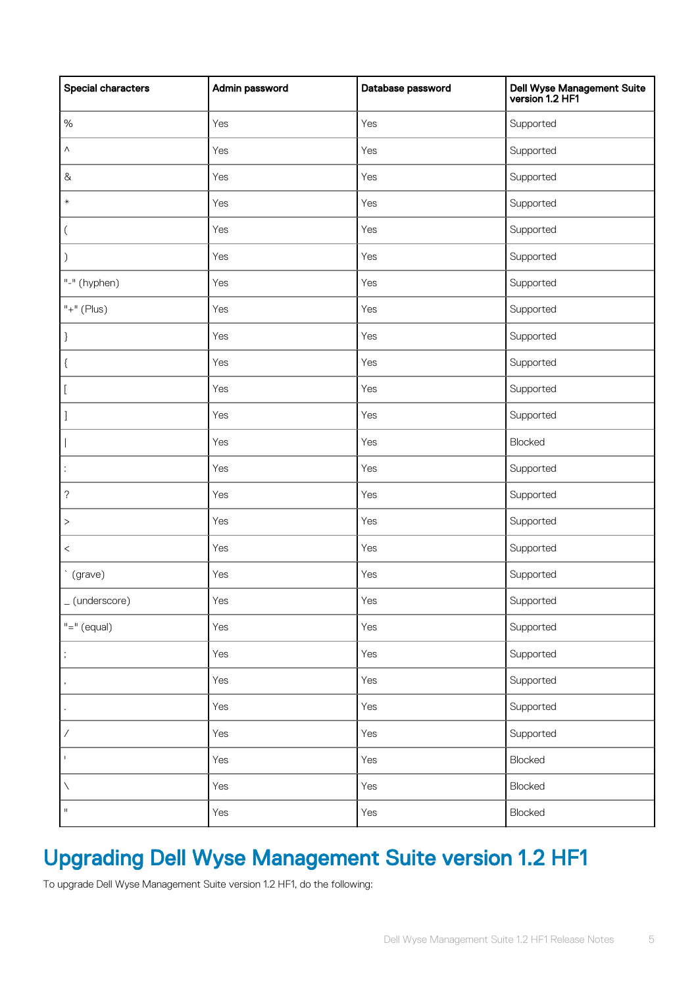| <b>Special characters</b>           | Admin password | Database password | Dell Wyse Management Suite<br>version 1.2 HF1 |
|-------------------------------------|----------------|-------------------|-----------------------------------------------|
| $\%$                                | Yes            | Yes               | Supported                                     |
| Λ                                   | Yes            | Yes               | Supported                                     |
| $\&$                                | Yes            | Yes               | Supported                                     |
| $\ast$                              | Yes            | Yes               | Supported                                     |
| $\left($                            | Yes            | Yes               | Supported                                     |
| $\mathcal{C}$                       | Yes            | Yes               | Supported                                     |
| "-" (hyphen)                        | Yes            | Yes               | Supported                                     |
| $"+"$ (Plus)                        | Yes            | Yes               | Supported                                     |
|                                     | Yes            | Yes               | Supported                                     |
| $\mathcal{L}$                       | Yes            | Yes               | Supported                                     |
| t.                                  | Yes            | Yes               | Supported                                     |
|                                     | Yes            | Yes               | Supported                                     |
|                                     | Yes            | Yes               | Blocked                                       |
| $\ddot{\cdot}$                      | Yes            | Yes               | Supported                                     |
| ?                                   | Yes            | Yes               | Supported                                     |
| $\, >$                              | Yes            | Yes               | Supported                                     |
| $\,<$                               | Yes            | Yes               | Supported                                     |
| $\overline{\phantom{0}}$<br>(grave) | Yes            | Yes               | Supported                                     |
| _(underscore)                       | Yes            | Yes               | Supported                                     |
| $"="" = " (equal)$                  | Yes            | Yes               | Supported                                     |
|                                     | Yes            | Yes               | Supported                                     |
|                                     | Yes            | Yes               | Supported                                     |
|                                     | Yes            | Yes               | Supported                                     |
| $\overline{\phantom{a}}$            | Yes            | Yes               | Supported                                     |
| $\mathsf{I}$                        | Yes            | Yes               | Blocked                                       |
| N                                   | Yes            | Yes               | Blocked                                       |
| $\rm H$                             | Yes            | Yes               | Blocked                                       |

### Upgrading Dell Wyse Management Suite version 1.2 HF1

To upgrade Dell Wyse Management Suite version 1.2 HF1, do the following: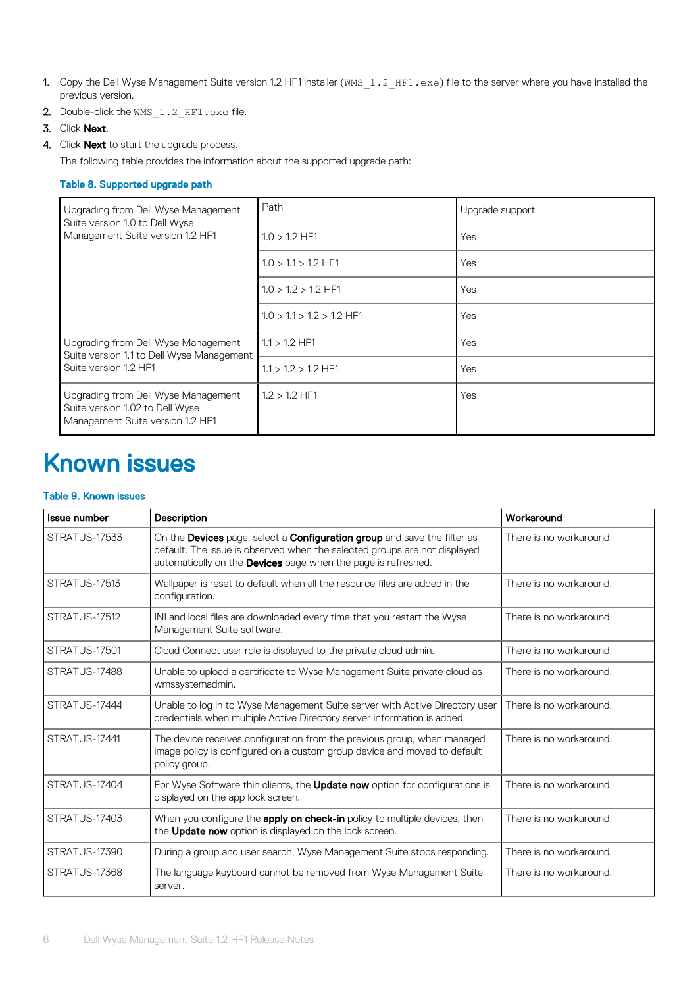- <span id="page-5-0"></span>1. Copy the Dell Wyse Management Suite version 1.2 HF1 installer (WMS\_1.2\_HF1.exe) file to the server where you have installed the previous version.
- 2. Double-click the  $WMS_1.2_HFI.exe file.$
- 3. Click Next.
- 4. Click **Next** to start the upgrade process.

The following table provides the information about the supported upgrade path:

#### Table 8. Supported upgrade path

| Upgrading from Dell Wyse Management<br>Suite version 1.0 to Dell Wyse                                      | Path                        | Upgrade support |
|------------------------------------------------------------------------------------------------------------|-----------------------------|-----------------|
| Management Suite version 1.2 HF1                                                                           | $1.0 > 1.2$ HF1             | Yes             |
|                                                                                                            | $1.0 > 1.1 > 1.2$ HF1       | Yes             |
|                                                                                                            | $1.0 > 1.2 > 1.2$ HF1       | Yes             |
|                                                                                                            | $1.0 > 1.1 > 1.2 > 1.2$ HF1 | Yes             |
| Upgrading from Dell Wyse Management<br>Suite version 1.1 to Dell Wyse Management                           | $1.1 > 1.2$ HF1             | Yes             |
| Suite version 1.2 HF1                                                                                      | $1.1 > 1.2 > 1.2$ HF1       | Yes             |
| Upgrading from Dell Wyse Management<br>Suite version 1.02 to Dell Wyse<br>Management Suite version 1.2 HF1 | $1.2 > 1.2$ HF1             | Yes             |

### Known issues

#### Table 9. Known issues

| <b>Issue number</b> | Description                                                                                                                                                                                                            | Workaround              |
|---------------------|------------------------------------------------------------------------------------------------------------------------------------------------------------------------------------------------------------------------|-------------------------|
| STRATUS-17533       | On the Devices page, select a Configuration group and save the filter as<br>default. The issue is observed when the selected groups are not displayed<br>automatically on the Devices page when the page is refreshed. | There is no workaround. |
| STRATUS-17513       | Wallpaper is reset to default when all the resource files are added in the<br>configuration.                                                                                                                           | There is no workaround. |
| STRATUS-17512       | INI and local files are downloaded every time that you restart the Wyse<br>Management Suite software.                                                                                                                  | There is no workaround. |
| STRATUS-17501       | Cloud Connect user role is displayed to the private cloud admin.                                                                                                                                                       | There is no workaround. |
| STRATUS-17488       | Unable to upload a certificate to Wyse Management Suite private cloud as<br>wmssystemadmin.                                                                                                                            | There is no workaround. |
| STRATUS-17444       | Unable to log in to Wyse Management Suite server with Active Directory user<br>credentials when multiple Active Directory server information is added.                                                                 | There is no workaround. |
| STRATUS-17441       | The device receives configuration from the previous group, when managed<br>image policy is configured on a custom group device and moved to default<br>policy group.                                                   | There is no workaround. |
| STRATUS-17404       | For Wyse Software thin clients, the <b>Update now</b> option for configurations is<br>displayed on the app lock screen.                                                                                                | There is no workaround. |
| STRATUS-17403       | When you configure the <b>apply on check-in</b> policy to multiple devices, then<br>the Update now option is displayed on the lock screen.                                                                             | There is no workaround. |
| STRATUS-17390       | During a group and user search, Wyse Management Suite stops responding.                                                                                                                                                | There is no workaround. |
| STRATUS-17368       | The language keyboard cannot be removed from Wyse Management Suite<br>server.                                                                                                                                          | There is no workaround. |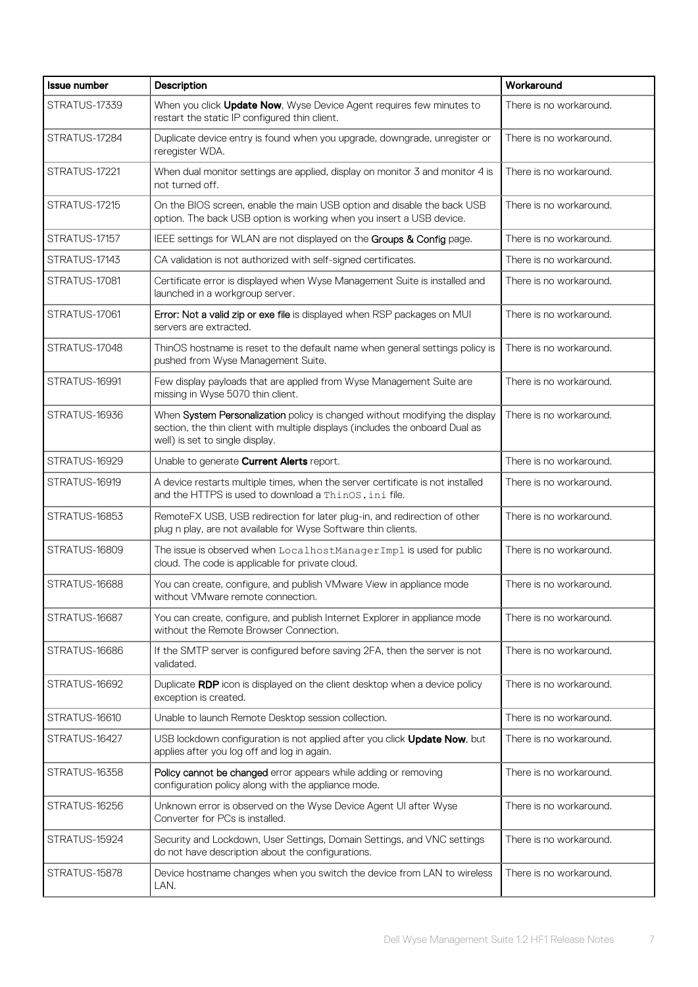| <b>Issue number</b> | Description                                                                                                                                                                                     | Workaround              |
|---------------------|-------------------------------------------------------------------------------------------------------------------------------------------------------------------------------------------------|-------------------------|
| STRATUS-17339       | When you click Update Now, Wyse Device Agent requires few minutes to<br>restart the static IP configured thin client.                                                                           | There is no workaround. |
| STRATUS-17284       | Duplicate device entry is found when you upgrade, downgrade, unregister or<br>reregister WDA.                                                                                                   | There is no workaround. |
| STRATUS-17221       | When dual monitor settings are applied, display on monitor 3 and monitor 4 is<br>not turned off.                                                                                                | There is no workaround. |
| STRATUS-17215       | On the BIOS screen, enable the main USB option and disable the back USB<br>option. The back USB option is working when you insert a USB device.                                                 | There is no workaround. |
| STRATUS-17157       | IEEE settings for WLAN are not displayed on the Groups & Config page.                                                                                                                           | There is no workaround. |
| STRATUS-17143       | CA validation is not authorized with self-signed certificates.                                                                                                                                  | There is no workaround. |
| STRATUS-17081       | Certificate error is displayed when Wyse Management Suite is installed and<br>launched in a workgroup server.                                                                                   | There is no workaround. |
| STRATUS-17061       | Error: Not a valid zip or exe file is displayed when RSP packages on MUI<br>servers are extracted.                                                                                              | There is no workaround. |
| STRATUS-17048       | ThinOS hostname is reset to the default name when general settings policy is<br>pushed from Wyse Management Suite.                                                                              | There is no workaround. |
| STRATUS-16991       | Few display payloads that are applied from Wyse Management Suite are<br>missing in Wyse 5070 thin client.                                                                                       | There is no workaround. |
| STRATUS-16936       | When System Personalization policy is changed without modifying the display<br>section, the thin client with multiple displays (includes the onboard Dual as<br>well) is set to single display. | There is no workaround. |
| STRATUS-16929       | Unable to generate <b>Current Alerts</b> report.                                                                                                                                                | There is no workaround. |
| STRATUS-16919       | A device restarts multiple times, when the server certificate is not installed<br>and the HTTPS is used to download a ThinOS. ini file.                                                         | There is no workaround. |
| STRATUS-16853       | RemoteFX USB, USB redirection for later plug-in, and redirection of other<br>plug n play, are not available for Wyse Software thin clients.                                                     | There is no workaround. |
| STRATUS-16809       | The issue is observed when LocalhostManagerImpl is used for public<br>cloud. The code is applicable for private cloud.                                                                          | There is no workaround. |
| STRATUS-16688       | You can create, configure, and publish VMware View in appliance mode<br>without VMware remote connection.                                                                                       | There is no workaround. |
| STRATUS-16687       | You can create, configure, and publish Internet Explorer in appliance mode<br>without the Remote Browser Connection.                                                                            | There is no workaround. |
| STRATUS-16686       | If the SMTP server is configured before saving 2FA, then the server is not<br>validated.                                                                                                        | There is no workaround. |
| STRATUS-16692       | Duplicate RDP icon is displayed on the client desktop when a device policy<br>exception is created.                                                                                             | There is no workaround. |
| STRATUS-16610       | Unable to launch Remote Desktop session collection.                                                                                                                                             | There is no workaround. |
| STRATUS-16427       | USB lockdown configuration is not applied after you click <b>Update Now</b> , but<br>applies after you log off and log in again.                                                                | There is no workaround. |
| STRATUS-16358       | Policy cannot be changed error appears while adding or removing<br>configuration policy along with the appliance mode.                                                                          | There is no workaround. |
| STRATUS-16256       | Unknown error is observed on the Wyse Device Agent UI after Wyse<br>Converter for PCs is installed.                                                                                             | There is no workaround. |
| STRATUS-15924       | Security and Lockdown, User Settings, Domain Settings, and VNC settings<br>do not have description about the configurations.                                                                    | There is no workaround. |
| STRATUS-15878       | Device hostname changes when you switch the device from LAN to wireless<br>LAN.                                                                                                                 | There is no workaround. |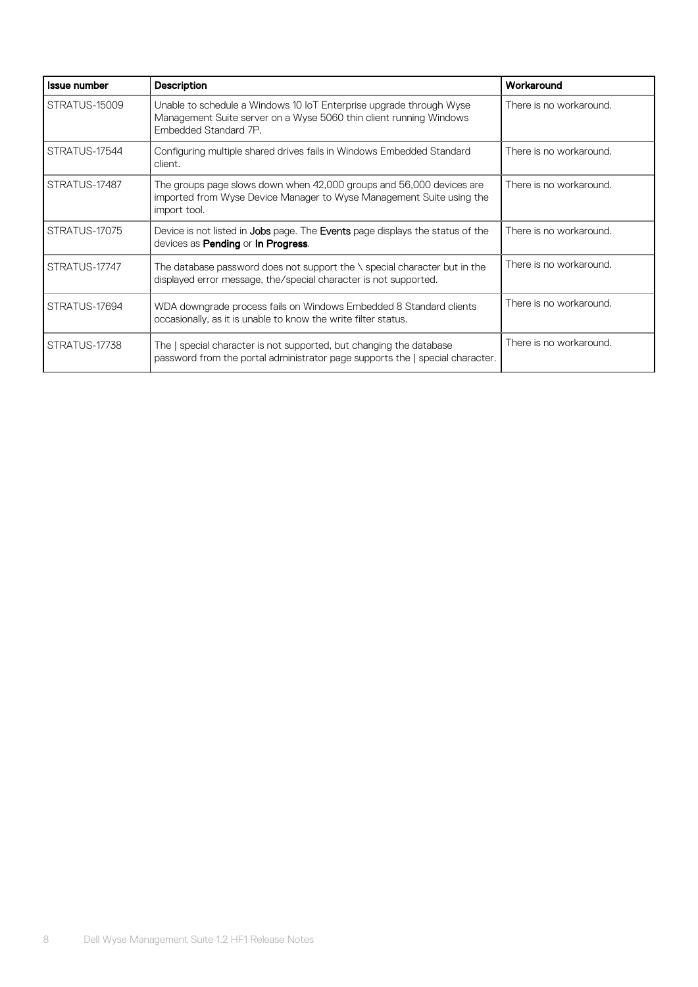| <b>Issue number</b> | Description                                                                                                                                                        | Workaround              |
|---------------------|--------------------------------------------------------------------------------------------------------------------------------------------------------------------|-------------------------|
| STRATUS-15009       | Unable to schedule a Windows 10 IoT Enterprise upgrade through Wyse<br>Management Suite server on a Wyse 5060 thin client running Windows<br>Embedded Standard 7P. | There is no workaround. |
| STRATUS-17544       | Configuring multiple shared drives fails in Windows Embedded Standard<br>client.                                                                                   | There is no workaround. |
| STRATUS-17487       | The groups page slows down when 42,000 groups and 56,000 devices are<br>imported from Wyse Device Manager to Wyse Management Suite using the<br>import tool.       | There is no workaround. |
| STRATUS-17075       | Device is not listed in Jobs page. The Events page displays the status of the<br>devices as <b>Pending</b> or <b>In Progress</b> .                                 | There is no workaround. |
| STRATUS-17747       | The database password does not support the $\setminus$ special character but in the<br>displayed error message, the/special character is not supported.            | There is no workaround. |
| STRATUS-17694       | WDA downgrade process fails on Windows Embedded 8 Standard clients<br>occasionally, as it is unable to know the write filter status.                               | There is no workaround. |
| STRATUS-17738       | The   special character is not supported, but changing the database<br>password from the portal administrator page supports the   special character.               | There is no workaround. |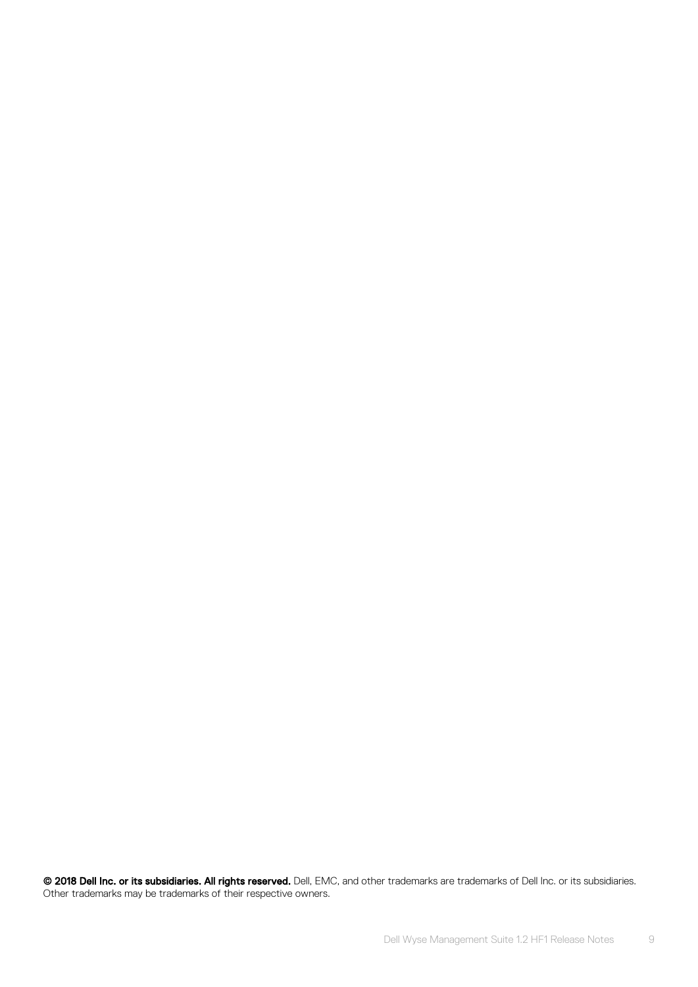© 2018 Dell Inc. or its subsidiaries. All rights reserved. Dell, EMC, and other trademarks are trademarks of Dell Inc. or its subsidiaries. Other trademarks may be trademarks of their respective owners.